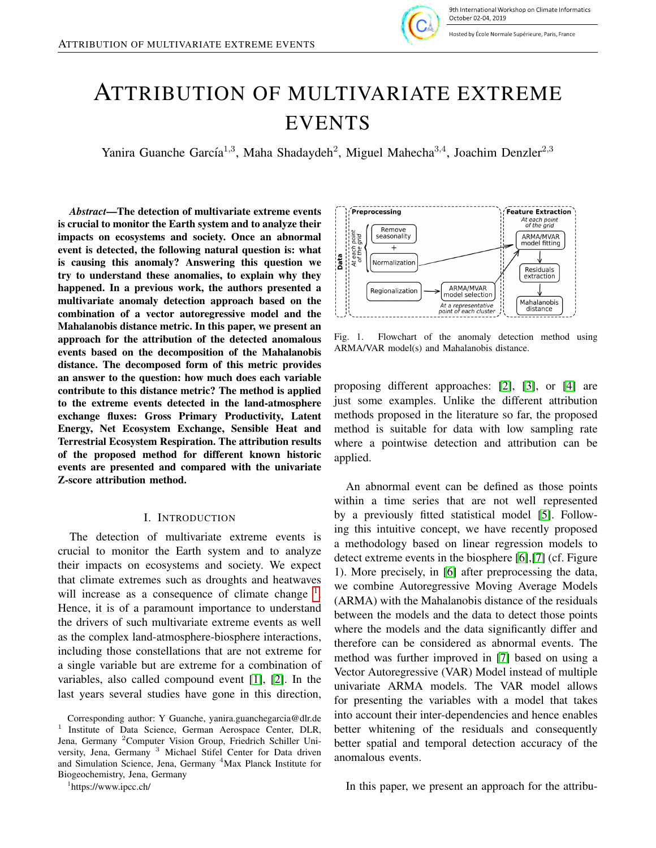

# ATTRIBUTION OF MULTIVARIATE EXTREME EVENTS

Yanira Guanche García<sup>1,3</sup>, Maha Shadaydeh<sup>2</sup>, Miguel Mahecha<sup>3,4</sup>, Joachim Denzler<sup>2,3</sup>

*Abstract*—The detection of multivariate extreme events is crucial to monitor the Earth system and to analyze their impacts on ecosystems and society. Once an abnormal event is detected, the following natural question is: what is causing this anomaly? Answering this question we try to understand these anomalies, to explain why they happened. In a previous work, the authors presented a multivariate anomaly detection approach based on the combination of a vector autoregressive model and the Mahalanobis distance metric. In this paper, we present an approach for the attribution of the detected anomalous events based on the decomposition of the Mahalanobis distance. The decomposed form of this metric provides an answer to the question: how much does each variable contribute to this distance metric? The method is applied to the extreme events detected in the land-atmosphere exchange fluxes: Gross Primary Productivity, Latent Energy, Net Ecosystem Exchange, Sensible Heat and Terrestrial Ecosystem Respiration. The attribution results of the proposed method for different known historic events are presented and compared with the univariate Z-score attribution method.

### I. INTRODUCTION

<span id="page-0-1"></span>The detection of multivariate extreme events is crucial to monitor the Earth system and to analyze their impacts on ecosystems and society. We expect that climate extremes such as droughts and heatwaves will increase as a consequence of climate change  $<sup>1</sup>$  $<sup>1</sup>$  $<sup>1</sup>$ .</sup> Hence, it is of a paramount importance to understand the drivers of such multivariate extreme events as well as the complex land-atmosphere-biosphere interactions, including those constellations that are not extreme for a single variable but are extreme for a combination of variables, also called compound event [\[1\]](#page-2-0), [\[2\]](#page-4-0). In the last years several studies have gone in this direction,

<span id="page-0-0"></span>1 https://www.ipcc.ch/



Fig. 1. Flowchart of the anomaly detection method using ARMA/VAR model(s) and Mahalanobis distance.

proposing different approaches: [\[2\]](#page-4-0), [\[3\]](#page-4-1), or [\[4\]](#page-4-2) are just some examples. Unlike the different attribution methods proposed in the literature so far, the proposed method is suitable for data with low sampling rate where a pointwise detection and attribution can be applied.

An abnormal event can be defined as those points within a time series that are not well represented by a previously fitted statistical model [\[5\]](#page-4-3). Following this intuitive concept, we have recently proposed a methodology based on linear regression models to detect extreme events in the biosphere [\[6\]](#page-4-4),[\[7\]](#page-4-5) (cf. Figure 1). More precisely, in [\[6\]](#page-4-4) after preprocessing the data, we combine Autoregressive Moving Average Models (ARMA) with the Mahalanobis distance of the residuals between the models and the data to detect those points where the models and the data significantly differ and therefore can be considered as abnormal events. The method was further improved in [\[7\]](#page-4-5) based on using a Vector Autoregressive (VAR) Model instead of multiple univariate ARMA models. The VAR model allows for presenting the variables with a model that takes into account their inter-dependencies and hence enables better whitening of the residuals and consequently better spatial and temporal detection accuracy of the anomalous events.

In this paper, we present an approach for the attribu-

Corresponding author: Y Guanche, yanira.guanchegarcia@dlr.de <sup>1</sup> Institute of Data Science, German Aerospace Center, DLR, Jena, Germany <sup>2</sup>Computer Vision Group, Friedrich Schiller University, Jena, Germany<sup>3</sup> Michael Stifel Center for Data driven and Simulation Science, Jena, Germany <sup>4</sup>Max Planck Institute for Biogeochemistry, Jena, Germany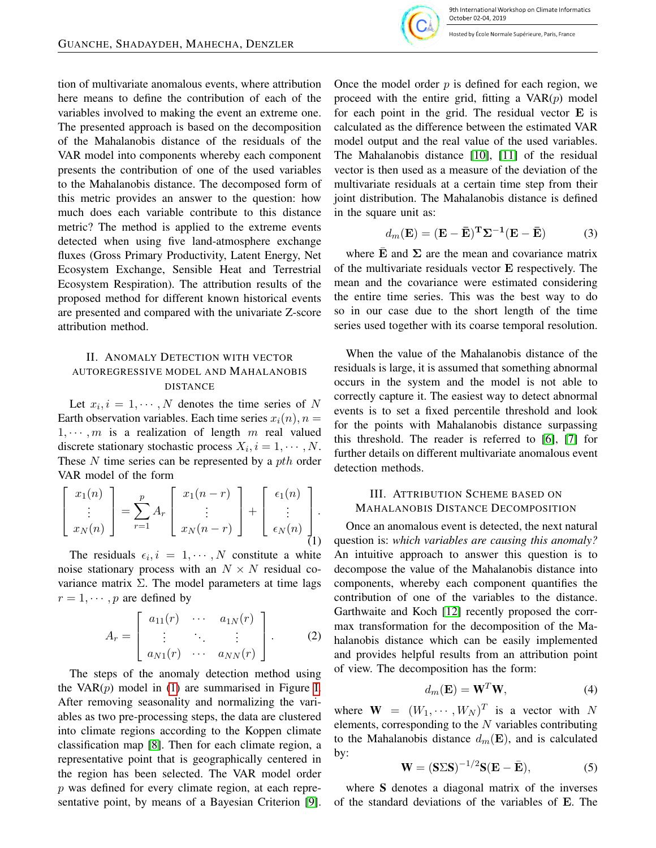

tion of multivariate anomalous events, where attribution here means to define the contribution of each of the variables involved to making the event an extreme one. The presented approach is based on the decomposition of the Mahalanobis distance of the residuals of the VAR model into components whereby each component presents the contribution of one of the used variables to the Mahalanobis distance. The decomposed form of this metric provides an answer to the question: how much does each variable contribute to this distance metric? The method is applied to the extreme events detected when using five land-atmosphere exchange fluxes (Gross Primary Productivity, Latent Energy, Net Ecosystem Exchange, Sensible Heat and Terrestrial Ecosystem Respiration). The attribution results of the proposed method for different known historical events are presented and compared with the univariate Z-score attribution method.

## II. ANOMALY DETECTION WITH VECTOR AUTOREGRESSIVE MODEL AND MAHALANOBIS DISTANCE

Let  $x_i, i = 1, \dots, N$  denotes the time series of N Earth observation variables. Each time series  $x_i(n)$ ,  $n =$  $1, \dots, m$  is a realization of length m real valued discrete stationary stochastic process  $X_i$ ,  $i = 1, \dots, N$ . These  $N$  time series can be represented by a  $pth$  order VAR model of the form

<span id="page-1-0"></span>
$$
\begin{bmatrix} x_1(n) \\ \vdots \\ x_N(n) \end{bmatrix} = \sum_{r=1}^p A_r \begin{bmatrix} x_1(n-r) \\ \vdots \\ x_N(n-r) \end{bmatrix} + \begin{bmatrix} \epsilon_1(n) \\ \vdots \\ \epsilon_N(n) \end{bmatrix}.
$$

The residuals  $\epsilon_i$ ,  $i = 1, \dots, N$  constitute a white noise stationary process with an  $N \times N$  residual covariance matrix  $\Sigma$ . The model parameters at time lags  $r = 1, \dots, p$  are defined by

$$
A_r = \begin{bmatrix} a_{11}(r) & \cdots & a_{1N}(r) \\ \vdots & \ddots & \vdots \\ a_{N1}(r) & \cdots & a_{NN}(r) \end{bmatrix} .
$$
 (2)

The steps of the anomaly detection method using the VAR $(p)$  model in  $(1)$  are summarised in Figure [I.](#page-0-1) After removing seasonality and normalizing the variables as two pre-processing steps, the data are clustered into climate regions according to the Koppen climate classification map [\[8\]](#page-4-6). Then for each climate region, a representative point that is geographically centered in the region has been selected. The VAR model order p was defined for every climate region, at each representative point, by means of a Bayesian Criterion [\[9\]](#page-4-7). Once the model order  $p$  is defined for each region, we proceed with the entire grid, fitting a  $VAR(p)$  model for each point in the grid. The residual vector E is calculated as the difference between the estimated VAR model output and the real value of the used variables. The Mahalanobis distance [\[10\]](#page-4-8), [\[11\]](#page-4-9) of the residual vector is then used as a measure of the deviation of the multivariate residuals at a certain time step from their joint distribution. The Mahalanobis distance is defined in the square unit as:

$$
d_m(\mathbf{E}) = (\mathbf{E} - \bar{\mathbf{E}})^{\mathrm{T}} \Sigma^{-1} (\mathbf{E} - \bar{\mathbf{E}})
$$
 (3)

where E and  $\Sigma$  are the mean and covariance matrix of the multivariate residuals vector E respectively. The mean and the covariance were estimated considering the entire time series. This was the best way to do so in our case due to the short length of the time series used together with its coarse temporal resolution.

When the value of the Mahalanobis distance of the residuals is large, it is assumed that something abnormal occurs in the system and the model is not able to correctly capture it. The easiest way to detect abnormal events is to set a fixed percentile threshold and look for the points with Mahalanobis distance surpassing this threshold. The reader is referred to [\[6\]](#page-4-4), [\[7\]](#page-4-5) for further details on different multivariate anomalous event detection methods.

# III. ATTRIBUTION SCHEME BASED ON MAHALANOBIS DISTANCE DECOMPOSITION

Once an anomalous event is detected, the next natural question is: *which variables are causing this anomaly?* An intuitive approach to answer this question is to decompose the value of the Mahalanobis distance into components, whereby each component quantifies the contribution of one of the variables to the distance. Garthwaite and Koch [\[12\]](#page-4-10) recently proposed the corrmax transformation for the decomposition of the Mahalanobis distance which can be easily implemented and provides helpful results from an attribution point of view. The decomposition has the form:

$$
d_m(\mathbf{E}) = \mathbf{W}^T \mathbf{W},\tag{4}
$$

where  $\mathbf{W} = (W_1, \cdots, W_N)^T$  is a vector with N elements, corresponding to the  $N$  variables contributing to the Mahalanobis distance  $d_m(\mathbf{E})$ , and is calculated by:

$$
\mathbf{W} = (\mathbf{S} \Sigma \mathbf{S})^{-1/2} \mathbf{S} (\mathbf{E} - \bar{\mathbf{E}}), \tag{5}
$$

where S denotes a diagonal matrix of the inverses of the standard deviations of the variables of E. The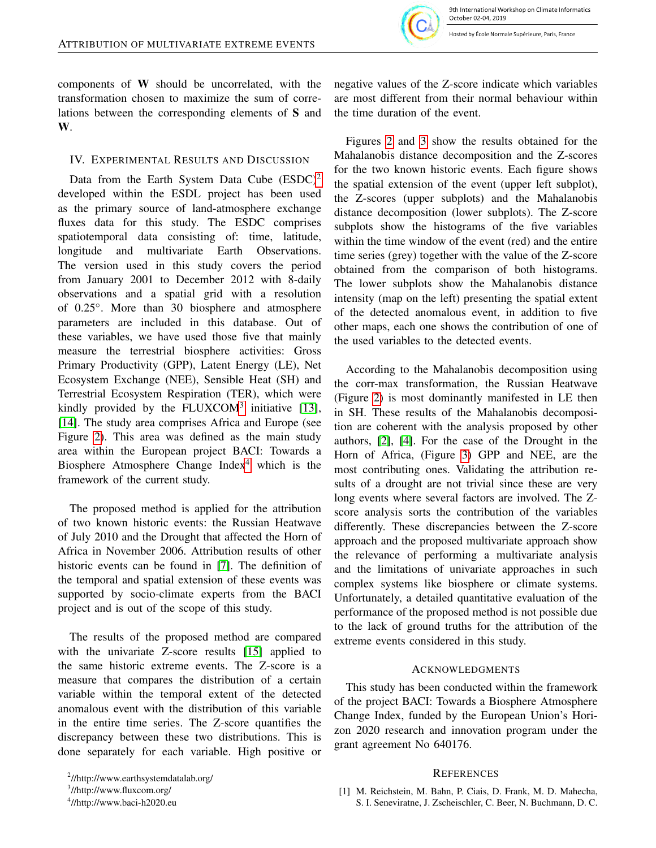components of W should be uncorrelated, with the transformation chosen to maximize the sum of correlations between the corresponding elements of S and W.

## IV. EXPERIMENTAL RESULTS AND DISCUSSION

Data from the Earth System Data Cube  $(ESDC)^2$  $(ESDC)^2$ developed within the ESDL project has been used as the primary source of land-atmosphere exchange fluxes data for this study. The ESDC comprises spatiotemporal data consisting of: time, latitude, longitude and multivariate Earth Observations. The version used in this study covers the period from January 2001 to December 2012 with 8-daily observations and a spatial grid with a resolution of 0.25◦ . More than 30 biosphere and atmosphere parameters are included in this database. Out of these variables, we have used those five that mainly measure the terrestrial biosphere activities: Gross Primary Productivity (GPP), Latent Energy (LE), Net Ecosystem Exchange (NEE), Sensible Heat (SH) and Terrestrial Ecosystem Respiration (TER), which were kindly provided by the FLUXCOM $3$  initiative [\[13\]](#page-4-11), [\[14\]](#page-4-12). The study area comprises Africa and Europe (see Figure [2\)](#page-3-0). This area was defined as the main study area within the European project BACI: Towards a Biosphere Atmosphere Change Index<sup>[4](#page-2-3)</sup> which is the framework of the current study.

The proposed method is applied for the attribution of two known historic events: the Russian Heatwave of July 2010 and the Drought that affected the Horn of Africa in November 2006. Attribution results of other historic events can be found in [\[7\]](#page-4-5). The definition of the temporal and spatial extension of these events was supported by socio-climate experts from the BACI project and is out of the scope of this study.

The results of the proposed method are compared with the univariate Z-score results [\[15\]](#page-4-13) applied to the same historic extreme events. The Z-score is a measure that compares the distribution of a certain variable within the temporal extent of the detected anomalous event with the distribution of this variable in the entire time series. The Z-score quantifies the discrepancy between these two distributions. This is done separately for each variable. High positive or

<span id="page-2-1"></span>2 //http://www.earthsystemdatalab.org/

<span id="page-2-2"></span>3 //http://www.fluxcom.org/

<span id="page-2-3"></span>4 //http://www.baci-h2020.eu

negative values of the Z-score indicate which variables are most different from their normal behaviour within the time duration of the event.

Figures [2](#page-3-0) and [3](#page-3-1) show the results obtained for the Mahalanobis distance decomposition and the Z-scores for the two known historic events. Each figure shows the spatial extension of the event (upper left subplot), the Z-scores (upper subplots) and the Mahalanobis distance decomposition (lower subplots). The Z-score subplots show the histograms of the five variables within the time window of the event (red) and the entire time series (grey) together with the value of the Z-score obtained from the comparison of both histograms. The lower subplots show the Mahalanobis distance intensity (map on the left) presenting the spatial extent of the detected anomalous event, in addition to five other maps, each one shows the contribution of one of the used variables to the detected events.

According to the Mahalanobis decomposition using the corr-max transformation, the Russian Heatwave (Figure [2\)](#page-3-0) is most dominantly manifested in LE then in SH. These results of the Mahalanobis decomposition are coherent with the analysis proposed by other authors, [\[2\]](#page-4-0), [\[4\]](#page-4-2). For the case of the Drought in the Horn of Africa, (Figure [3\)](#page-3-1) GPP and NEE, are the most contributing ones. Validating the attribution results of a drought are not trivial since these are very long events where several factors are involved. The Zscore analysis sorts the contribution of the variables differently. These discrepancies between the Z-score approach and the proposed multivariate approach show the relevance of performing a multivariate analysis and the limitations of univariate approaches in such complex systems like biosphere or climate systems. Unfortunately, a detailed quantitative evaluation of the performance of the proposed method is not possible due to the lack of ground truths for the attribution of the extreme events considered in this study.

#### **ACKNOWLEDGMENTS**

This study has been conducted within the framework of the project BACI: Towards a Biosphere Atmosphere Change Index, funded by the European Union's Horizon 2020 research and innovation program under the grant agreement No 640176.

#### **REFERENCES**

<span id="page-2-0"></span>[1] M. Reichstein, M. Bahn, P. Ciais, D. Frank, M. D. Mahecha, S. I. Seneviratne, J. Zscheischler, C. Beer, N. Buchmann, D. C.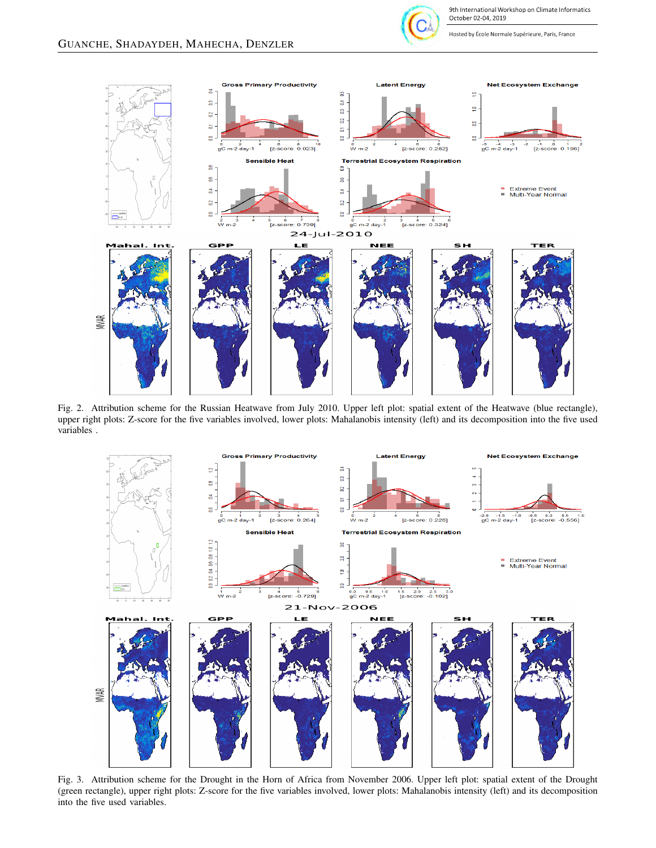

9th International Workshop on Climate Informatics October 02-04, 2019

Hosted by École Normale Supérieure, Paris, France



<span id="page-3-0"></span>Fig. 2. Attribution scheme for the Russian Heatwave from July 2010. Upper left plot: spatial extent of the Heatwave (blue rectangle), upper right plots: Z-score for the five variables involved, lower plots: Mahalanobis intensity (left) and its decomposition into the five used variables .



<span id="page-3-1"></span>Fig. 3. Attribution scheme for the Drought in the Horn of Africa from November 2006. Upper left plot: spatial extent of the Drought (green rectangle), upper right plots: Z-score for the five variables involved, lower plots: Mahalanobis intensity (left) and its decomposition into the five used variables.